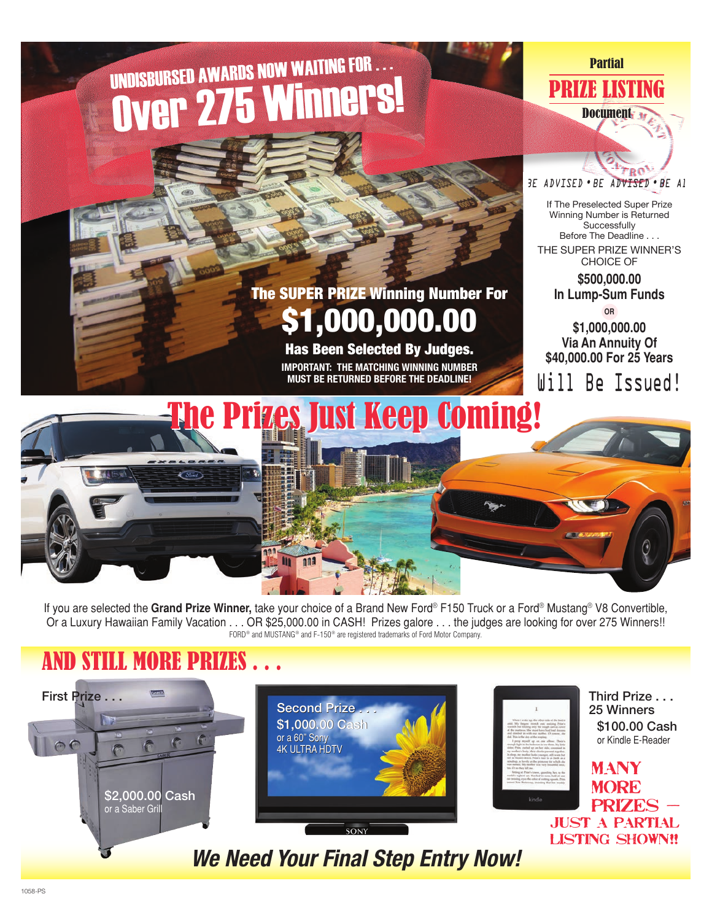# UNDISBURSED AWARDS NOW WAITING FOR . . . Over 275 Winners!

#### **Partial**

PRIZE LISTING Document<sub>34</sub>



If The Preselected Super Prize Winning Number is Returned **Successfully** Before The Deadline . . . THE SUPER PRIZE WINNER'S CHOICE OF **\$500,000.00 In Lump-Sum Funds OR \$1,000,000.00 Via An Annuity Of**

**\$40,000.00 For 25 Years**

Will Be Issued! **MUST BE RETURNED BEFORE THE DEADLINE! The Prizes Just Keep Coming!** 

The SUPER PRIZE Winning Number For

Has Been Selected By Judges. **IMPORTANT: THE MATCHING WINNING NUMBER**

\$1,000,000

If you are selected the **Grand Prize Winner,** take your choice of a Brand New Ford® F150 Truck or a Ford® Mustang® V8 Convertible, Or a Luxury Hawaiian Family Vacation . . . OR \$25,000.00 in CASH! Prizes galore . . . the judges are looking for over 275 Winners!! FORD<sup>®</sup> and MUSTANG<sup>®</sup> and F-150<sup>®</sup> are registered trademarks of Ford Motor Company.

### AND STILL MORE P